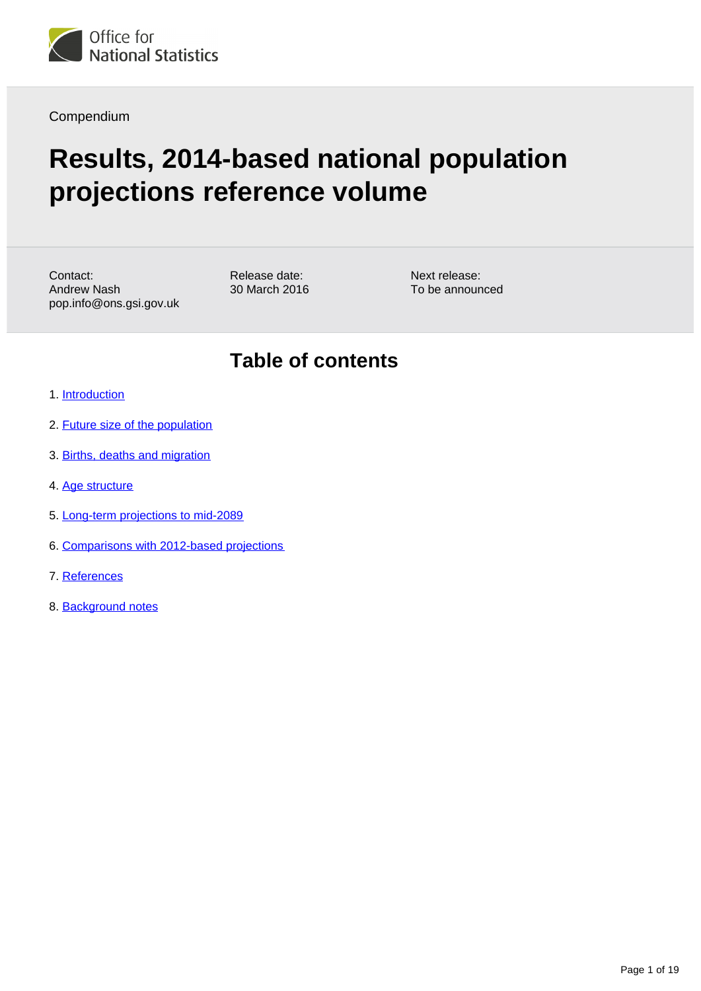

Compendium

# **Results, 2014-based national population projections reference volume**

Contact: Andrew Nash pop.info@ons.gsi.gov.uk Release date: 30 March 2016 Next release: To be announced

## **Table of contents**

- 1. [Introduction](#page-1-0)
- 2. [Future size of the population](#page-1-1)
- 3. [Births, deaths and migration](#page-2-0)
- 4. [Age structure](#page-3-0)
- 5. [Long-term projections to mid-2089](#page-10-0)
- 6. [Comparisons with 2012-based projections](#page-11-0)
- 7. References
- 8. Background notes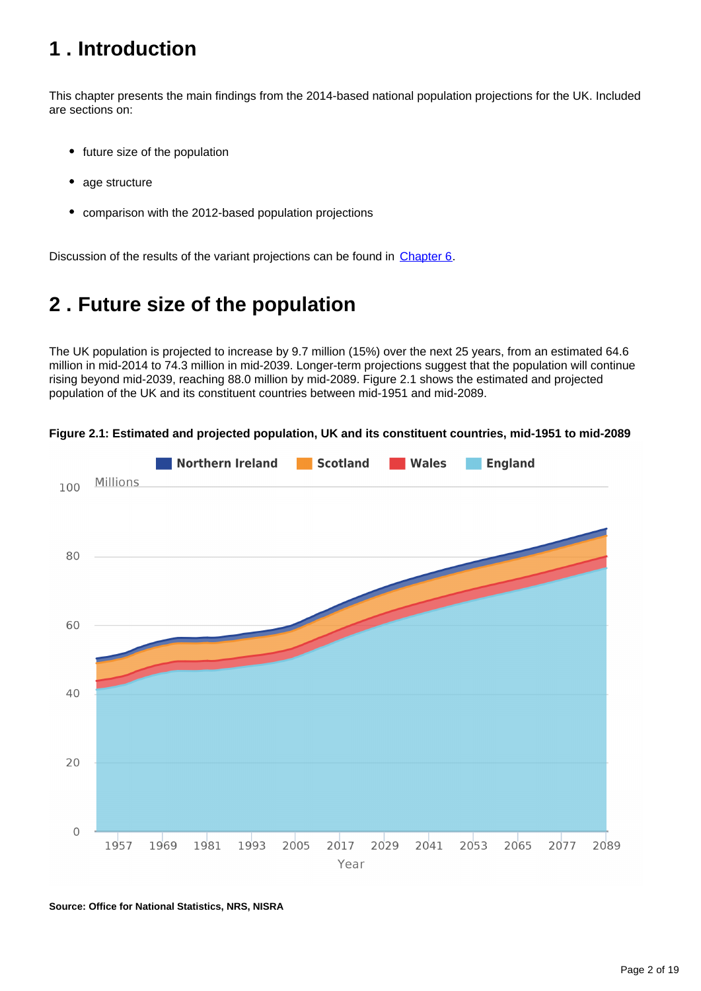## <span id="page-1-0"></span>**1 . Introduction**

This chapter presents the main findings from the 2014-based national population projections for the UK. Included are sections on:

- future size of the population
- age structure
- $\bullet$ comparison with the 2012-based population projections

Discussion of the results of the variant projections can be found in [Chapter 6](https://www.ons.gov.uk/peoplepopulationandcommunity/populationandmigration/populationprojections/compendium/nationalpopulationprojections/2014basedreferencevolumeseriespp2/chapter6variants2014basednationalpopulationprojectionsreferencevolume).

## <span id="page-1-1"></span>**2 . Future size of the population**

The UK population is projected to increase by 9.7 million (15%) over the next 25 years, from an estimated 64.6 million in mid-2014 to 74.3 million in mid-2039. Longer-term projections suggest that the population will continue rising beyond mid-2039, reaching 88.0 million by mid-2089. Figure 2.1 shows the estimated and projected population of the UK and its constituent countries between mid-1951 and mid-2089.



**Figure 2.1: Estimated and projected population, UK and its constituent countries, mid-1951 to mid-2089**

**Source: Office for National Statistics, NRS, NISRA**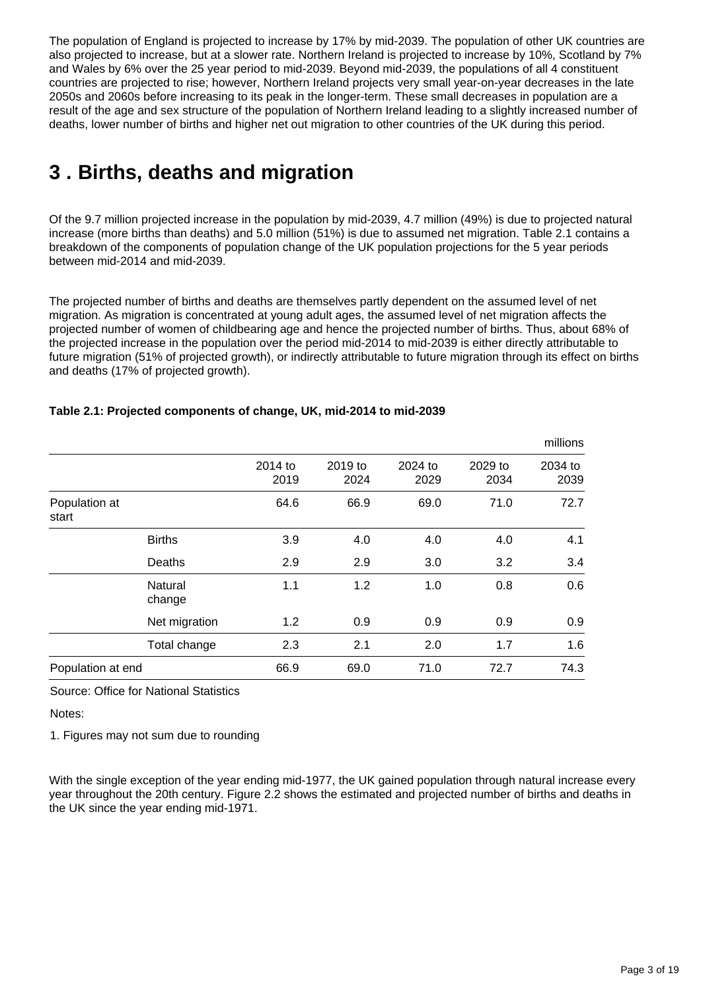The population of England is projected to increase by 17% by mid-2039. The population of other UK countries are also projected to increase, but at a slower rate. Northern Ireland is projected to increase by 10%, Scotland by 7% and Wales by 6% over the 25 year period to mid-2039. Beyond mid-2039, the populations of all 4 constituent countries are projected to rise; however, Northern Ireland projects very small year-on-year decreases in the late 2050s and 2060s before increasing to its peak in the longer-term. These small decreases in population are a result of the age and sex structure of the population of Northern Ireland leading to a slightly increased number of deaths, lower number of births and higher net out migration to other countries of the UK during this period.

## <span id="page-2-0"></span>**3 . Births, deaths and migration**

Of the 9.7 million projected increase in the population by mid-2039, 4.7 million (49%) is due to projected natural increase (more births than deaths) and 5.0 million (51%) is due to assumed net migration. Table 2.1 contains a breakdown of the components of population change of the UK population projections for the 5 year periods between mid-2014 and mid-2039.

The projected number of births and deaths are themselves partly dependent on the assumed level of net migration. As migration is concentrated at young adult ages, the assumed level of net migration affects the projected number of women of childbearing age and hence the projected number of births. Thus, about 68% of the projected increase in the population over the period mid-2014 to mid-2039 is either directly attributable to future migration (51% of projected growth), or indirectly attributable to future migration through its effect on births and deaths (17% of projected growth).

|                        |                   |                 |                 |                 |                 | millions        |
|------------------------|-------------------|-----------------|-----------------|-----------------|-----------------|-----------------|
|                        |                   | 2014 to<br>2019 | 2019 to<br>2024 | 2024 to<br>2029 | 2029 to<br>2034 | 2034 to<br>2039 |
| Population at<br>start |                   | 64.6            | 66.9            | 69.0            | 71.0            | 72.7            |
|                        | <b>Births</b>     | 3.9             | 4.0             | 4.0             | 4.0             | 4.1             |
|                        | Deaths            | 2.9             | 2.9             | 3.0             | 3.2             | 3.4             |
|                        | Natural<br>change | 1.1             | 1.2             | 1.0             | 0.8             | 0.6             |
|                        | Net migration     | 1.2             | 0.9             | 0.9             | 0.9             | 0.9             |
|                        | Total change      | 2.3             | 2.1             | 2.0             | 1.7             | 1.6             |
| Population at end      |                   | 66.9            | 69.0            | 71.0            | 72.7            | 74.3            |

### **Table 2.1: Projected components of change, UK, mid-2014 to mid-2039**

Source: Office for National Statistics

Notes:

1. Figures may not sum due to rounding

With the single exception of the year ending mid-1977, the UK gained population through natural increase every year throughout the 20th century. Figure 2.2 shows the estimated and projected number of births and deaths in the UK since the year ending mid-1971.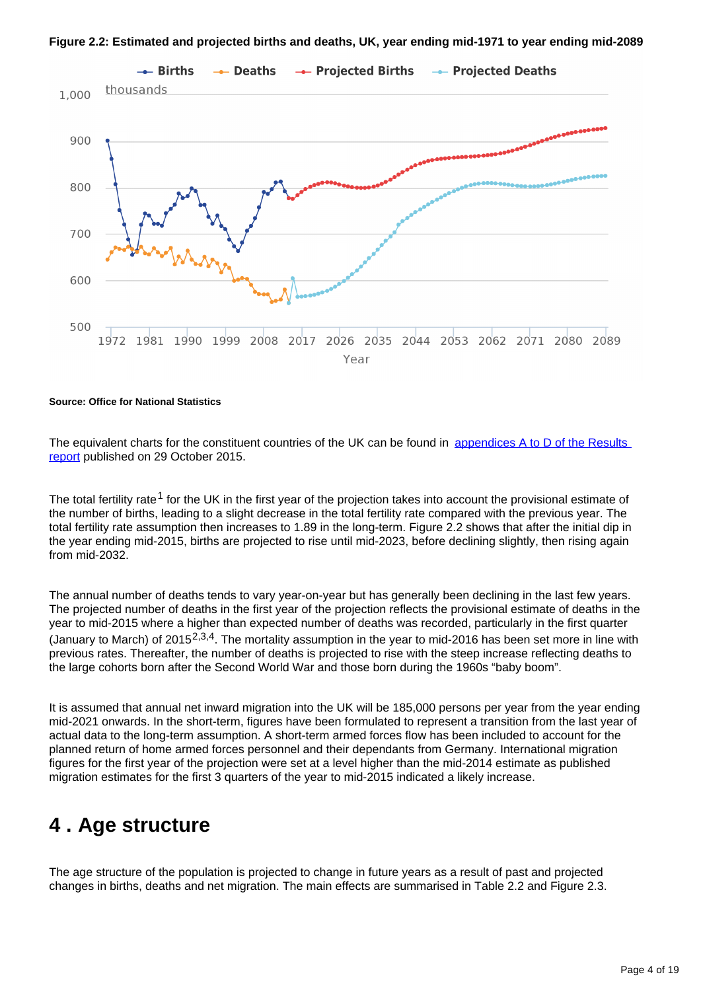



#### **Source: Office for National Statistics**

The equivalent charts for the constituent countries of the UK can be found in [appendices A to D of the Results](http://www.ons.gov.uk/peoplepopulationandcommunity/populationandmigration/populationprojections/compendium/nationalpopulationprojections/2015-10-29/summaryresults)  [report](http://www.ons.gov.uk/peoplepopulationandcommunity/populationandmigration/populationprojections/compendium/nationalpopulationprojections/2015-10-29/summaryresults) published on 29 October 2015.

The total fertility rate<sup>1</sup> for the UK in the first year of the projection takes into account the provisional estimate of the number of births, leading to a slight decrease in the total fertility rate compared with the previous year. The total fertility rate assumption then increases to 1.89 in the long-term. Figure 2.2 shows that after the initial dip in the year ending mid-2015, births are projected to rise until mid-2023, before declining slightly, then rising again from mid-2032.

The annual number of deaths tends to vary year-on-year but has generally been declining in the last few years. The projected number of deaths in the first year of the projection reflects the provisional estimate of deaths in the year to mid-2015 where a higher than expected number of deaths was recorded, particularly in the first quarter (January to March) of 2015<sup>2,3,4</sup>. The mortality assumption in the year to mid-2016 has been set more in line with previous rates. Thereafter, the number of deaths is projected to rise with the steep increase reflecting deaths to the large cohorts born after the Second World War and those born during the 1960s "baby boom".

It is assumed that annual net inward migration into the UK will be 185,000 persons per year from the year ending mid-2021 onwards. In the short-term, figures have been formulated to represent a transition from the last year of actual data to the long-term assumption. A short-term armed forces flow has been included to account for the planned return of home armed forces personnel and their dependants from Germany. International migration figures for the first year of the projection were set at a level higher than the mid-2014 estimate as published migration estimates for the first 3 quarters of the year to mid-2015 indicated a likely increase.

## <span id="page-3-0"></span>**4 . Age structure**

The age structure of the population is projected to change in future years as a result of past and projected changes in births, deaths and net migration. The main effects are summarised in Table 2.2 and Figure 2.3.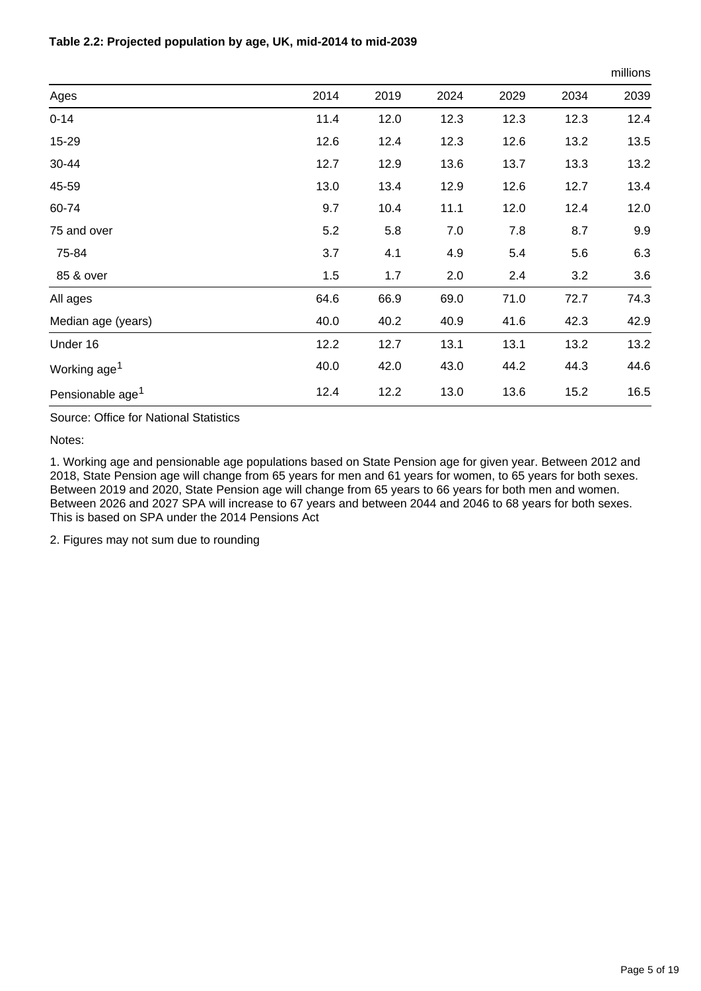### **Table 2.2: Projected population by age, UK, mid-2014 to mid-2039**

|                              |      |      |      |      |      | millions |
|------------------------------|------|------|------|------|------|----------|
| Ages                         | 2014 | 2019 | 2024 | 2029 | 2034 | 2039     |
| $0 - 14$                     | 11.4 | 12.0 | 12.3 | 12.3 | 12.3 | 12.4     |
| 15-29                        | 12.6 | 12.4 | 12.3 | 12.6 | 13.2 | 13.5     |
| 30-44                        | 12.7 | 12.9 | 13.6 | 13.7 | 13.3 | 13.2     |
| 45-59                        | 13.0 | 13.4 | 12.9 | 12.6 | 12.7 | 13.4     |
| 60-74                        | 9.7  | 10.4 | 11.1 | 12.0 | 12.4 | 12.0     |
| 75 and over                  | 5.2  | 5.8  | 7.0  | 7.8  | 8.7  | 9.9      |
| 75-84                        | 3.7  | 4.1  | 4.9  | 5.4  | 5.6  | 6.3      |
| 85 & over                    | 1.5  | 1.7  | 2.0  | 2.4  | 3.2  | 3.6      |
| All ages                     | 64.6 | 66.9 | 69.0 | 71.0 | 72.7 | 74.3     |
| Median age (years)           | 40.0 | 40.2 | 40.9 | 41.6 | 42.3 | 42.9     |
| Under 16                     | 12.2 | 12.7 | 13.1 | 13.1 | 13.2 | 13.2     |
| Working age <sup>1</sup>     | 40.0 | 42.0 | 43.0 | 44.2 | 44.3 | 44.6     |
| Pensionable age <sup>1</sup> | 12.4 | 12.2 | 13.0 | 13.6 | 15.2 | 16.5     |

Source: Office for National Statistics

Notes:

1. Working age and pensionable age populations based on State Pension age for given year. Between 2012 and 2018, State Pension age will change from 65 years for men and 61 years for women, to 65 years for both sexes. Between 2019 and 2020, State Pension age will change from 65 years to 66 years for both men and women. Between 2026 and 2027 SPA will increase to 67 years and between 2044 and 2046 to 68 years for both sexes. This is based on SPA under the 2014 Pensions Act

2. Figures may not sum due to rounding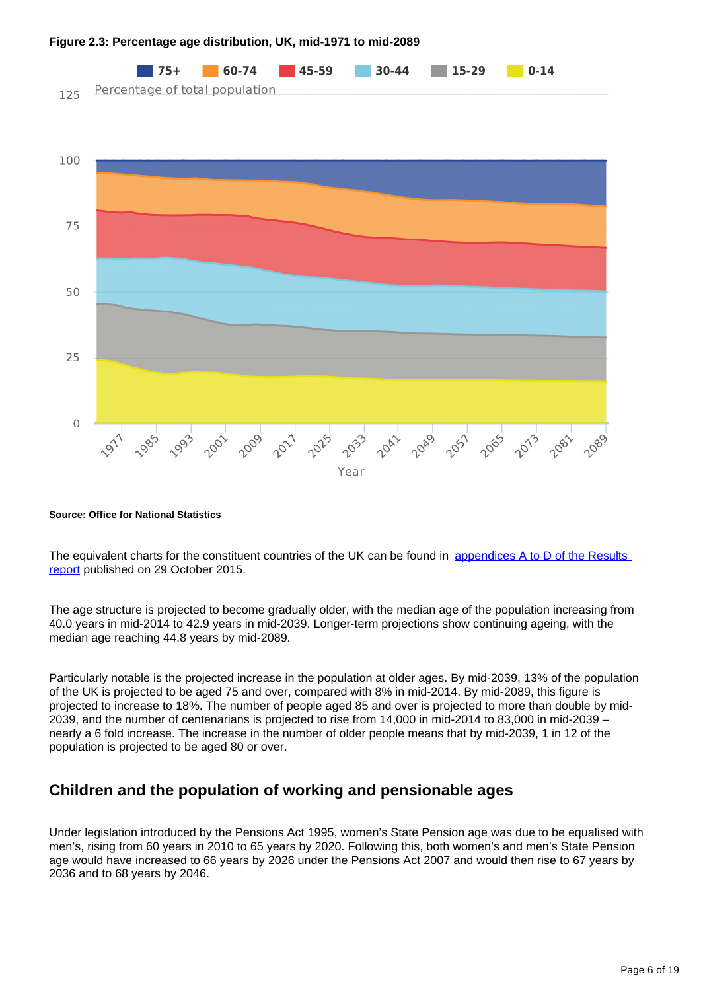

### **Figure 2.3: Percentage age distribution, UK, mid-1971 to mid-2089**

**Source: Office for National Statistics**

The equivalent charts for the constituent countries of the UK can be found in appendices A to D of the Results [report](http://www.ons.gov.uk/peoplepopulationandcommunity/populationandmigration/populationprojections/compendium/nationalpopulationprojections/2015-10-29/summaryresults) published on 29 October 2015.

The age structure is projected to become gradually older, with the median age of the population increasing from 40.0 years in mid-2014 to 42.9 years in mid-2039. Longer-term projections show continuing ageing, with the median age reaching 44.8 years by mid-2089.

Particularly notable is the projected increase in the population at older ages. By mid-2039, 13% of the population of the UK is projected to be aged 75 and over, compared with 8% in mid-2014. By mid-2089, this figure is projected to increase to 18%. The number of people aged 85 and over is projected to more than double by mid-2039, and the number of centenarians is projected to rise from 14,000 in mid-2014 to 83,000 in mid-2039 – nearly a 6 fold increase. The increase in the number of older people means that by mid-2039, 1 in 12 of the population is projected to be aged 80 or over.

### **Children and the population of working and pensionable ages**

Under legislation introduced by the Pensions Act 1995, women's State Pension age was due to be equalised with men's, rising from 60 years in 2010 to 65 years by 2020. Following this, both women's and men's State Pension age would have increased to 66 years by 2026 under the Pensions Act 2007 and would then rise to 67 years by 2036 and to 68 years by 2046.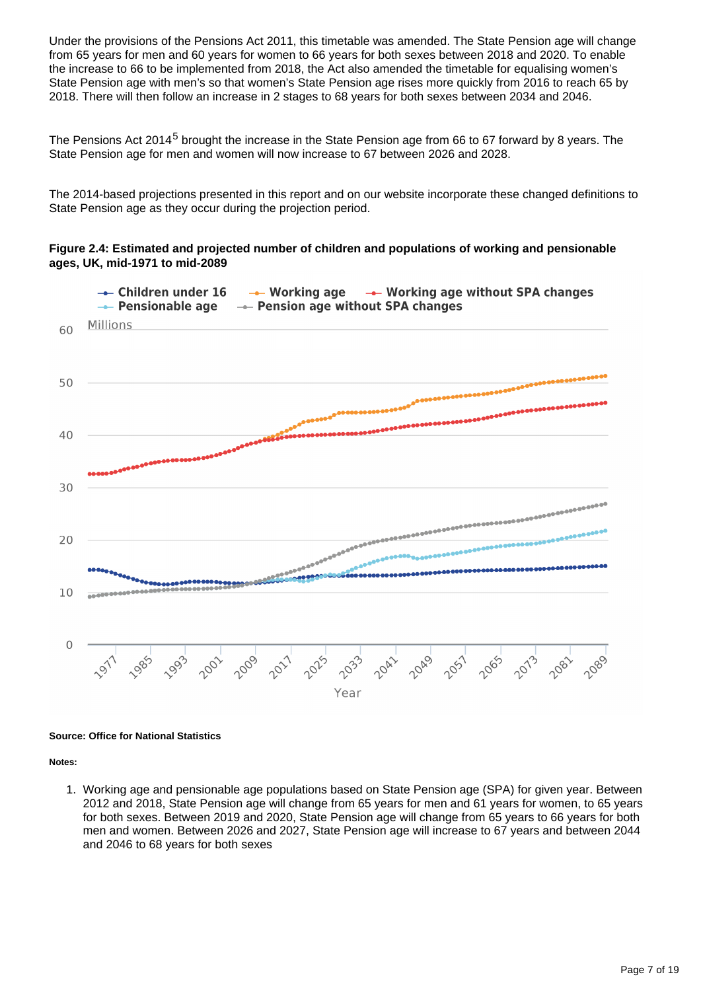Under the provisions of the Pensions Act 2011, this timetable was amended. The State Pension age will change from 65 years for men and 60 years for women to 66 years for both sexes between 2018 and 2020. To enable the increase to 66 to be implemented from 2018, the Act also amended the timetable for equalising women's State Pension age with men's so that women's State Pension age rises more quickly from 2016 to reach 65 by 2018. There will then follow an increase in 2 stages to 68 years for both sexes between 2034 and 2046.

The Pensions Act 2014<sup>5</sup> brought the increase in the State Pension age from 66 to 67 forward by 8 years. The State Pension age for men and women will now increase to 67 between 2026 and 2028.

The 2014-based projections presented in this report and on our website incorporate these changed definitions to State Pension age as they occur during the projection period.

### **Figure 2.4: Estimated and projected number of children and populations of working and pensionable ages, UK, mid-1971 to mid-2089**



#### **Source: Office for National Statistics**

**Notes:**

1. Working age and pensionable age populations based on State Pension age (SPA) for given year. Between 2012 and 2018, State Pension age will change from 65 years for men and 61 years for women, to 65 years for both sexes. Between 2019 and 2020, State Pension age will change from 65 years to 66 years for both men and women. Between 2026 and 2027, State Pension age will increase to 67 years and between 2044 and 2046 to 68 years for both sexes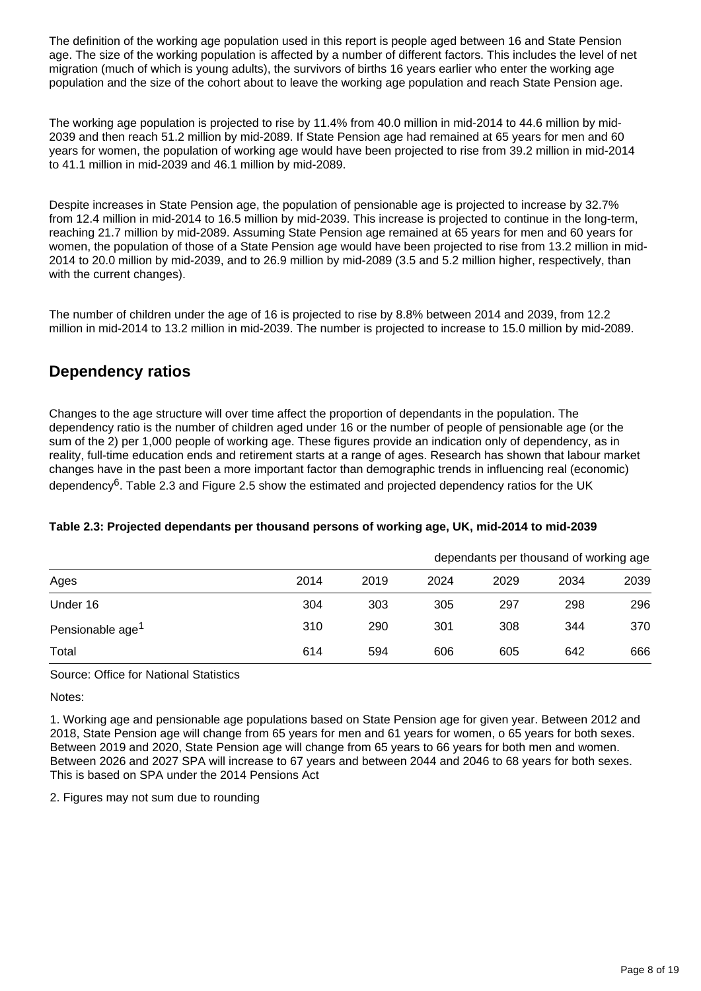The definition of the working age population used in this report is people aged between 16 and State Pension age. The size of the working population is affected by a number of different factors. This includes the level of net migration (much of which is young adults), the survivors of births 16 years earlier who enter the working age population and the size of the cohort about to leave the working age population and reach State Pension age.

The working age population is projected to rise by 11.4% from 40.0 million in mid-2014 to 44.6 million by mid-2039 and then reach 51.2 million by mid-2089. If State Pension age had remained at 65 years for men and 60 years for women, the population of working age would have been projected to rise from 39.2 million in mid-2014 to 41.1 million in mid-2039 and 46.1 million by mid-2089.

Despite increases in State Pension age, the population of pensionable age is projected to increase by 32.7% from 12.4 million in mid-2014 to 16.5 million by mid-2039. This increase is projected to continue in the long-term, reaching 21.7 million by mid-2089. Assuming State Pension age remained at 65 years for men and 60 years for women, the population of those of a State Pension age would have been projected to rise from 13.2 million in mid-2014 to 20.0 million by mid-2039, and to 26.9 million by mid-2089 (3.5 and 5.2 million higher, respectively, than with the current changes).

The number of children under the age of 16 is projected to rise by 8.8% between 2014 and 2039, from 12.2 million in mid-2014 to 13.2 million in mid-2039. The number is projected to increase to 15.0 million by mid-2089.

## **Dependency ratios**

Changes to the age structure will over time affect the proportion of dependants in the population. The dependency ratio is the number of children aged under 16 or the number of people of pensionable age (or the sum of the 2) per 1,000 people of working age. These figures provide an indication only of dependency, as in reality, full-time education ends and retirement starts at a range of ages. Research has shown that labour market changes have in the past been a more important factor than demographic trends in influencing real (economic) dependency<sup>6</sup>. Table 2.3 and Figure 2.5 show the estimated and projected dependency ratios for the UK

### **Table 2.3: Projected dependants per thousand persons of working age, UK, mid-2014 to mid-2039**

|                              |      |      | dependants per thousand of working age |      |      |      |  |
|------------------------------|------|------|----------------------------------------|------|------|------|--|
| Ages                         | 2014 | 2019 | 2024                                   | 2029 | 2034 | 2039 |  |
| Under 16                     | 304  | 303  | 305                                    | 297  | 298  | 296  |  |
| Pensionable age <sup>1</sup> | 310  | 290  | 301                                    | 308  | 344  | 370  |  |
| Total                        | 614  | 594  | 606                                    | 605  | 642  | 666  |  |

Source: Office for National Statistics

Notes:

1. Working age and pensionable age populations based on State Pension age for given year. Between 2012 and 2018, State Pension age will change from 65 years for men and 61 years for women, o 65 years for both sexes. Between 2019 and 2020, State Pension age will change from 65 years to 66 years for both men and women. Between 2026 and 2027 SPA will increase to 67 years and between 2044 and 2046 to 68 years for both sexes. This is based on SPA under the 2014 Pensions Act

2. Figures may not sum due to rounding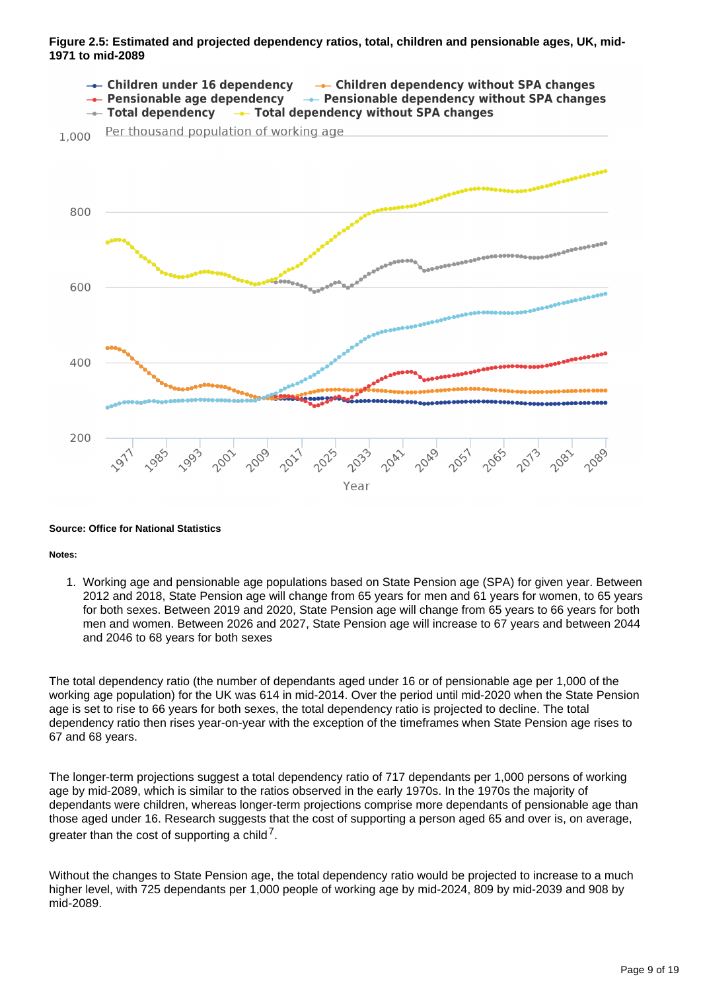### **Figure 2.5: Estimated and projected dependency ratios, total, children and pensionable ages, UK, mid-1971 to mid-2089**



#### **Source: Office for National Statistics**

#### **Notes:**

1. Working age and pensionable age populations based on State Pension age (SPA) for given year. Between 2012 and 2018, State Pension age will change from 65 years for men and 61 years for women, to 65 years for both sexes. Between 2019 and 2020, State Pension age will change from 65 years to 66 years for both men and women. Between 2026 and 2027, State Pension age will increase to 67 years and between 2044 and 2046 to 68 years for both sexes

The total dependency ratio (the number of dependants aged under 16 or of pensionable age per 1,000 of the working age population) for the UK was 614 in mid-2014. Over the period until mid-2020 when the State Pension age is set to rise to 66 years for both sexes, the total dependency ratio is projected to decline. The total dependency ratio then rises year-on-year with the exception of the timeframes when State Pension age rises to 67 and 68 years.

The longer-term projections suggest a total dependency ratio of 717 dependants per 1,000 persons of working age by mid-2089, which is similar to the ratios observed in the early 1970s. In the 1970s the majority of dependants were children, whereas longer-term projections comprise more dependants of pensionable age than those aged under 16. Research suggests that the cost of supporting a person aged 65 and over is, on average, greater than the cost of supporting a child<sup>7</sup>.

Without the changes to State Pension age, the total dependency ratio would be projected to increase to a much higher level, with 725 dependants per 1,000 people of working age by mid-2024, 809 by mid-2039 and 908 by mid-2089.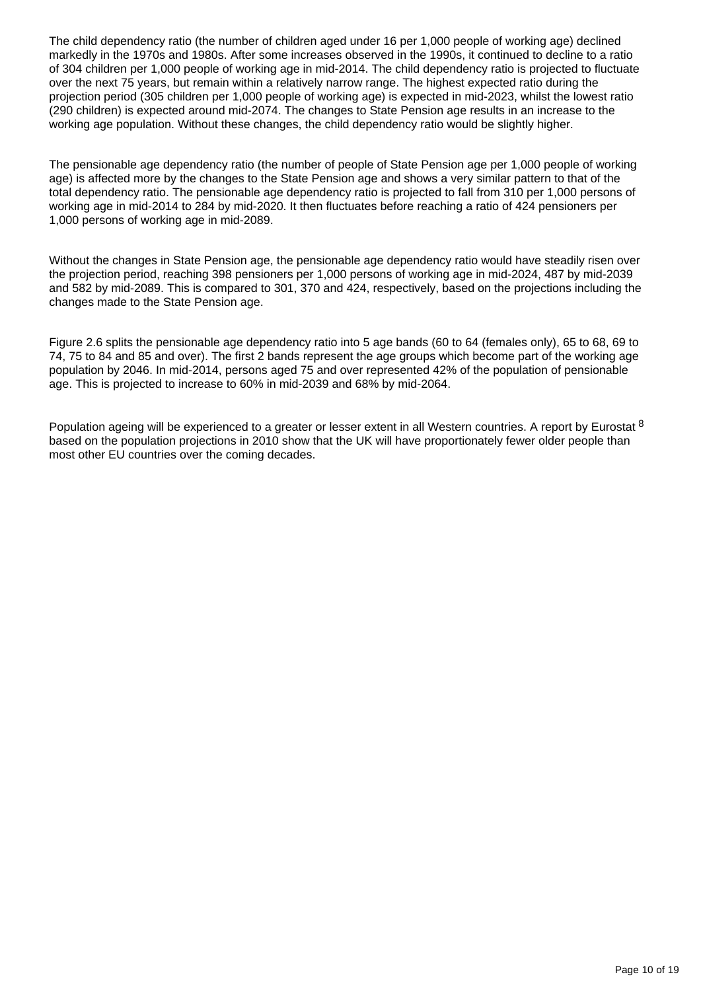The child dependency ratio (the number of children aged under 16 per 1,000 people of working age) declined markedly in the 1970s and 1980s. After some increases observed in the 1990s, it continued to decline to a ratio of 304 children per 1,000 people of working age in mid-2014. The child dependency ratio is projected to fluctuate over the next 75 years, but remain within a relatively narrow range. The highest expected ratio during the projection period (305 children per 1,000 people of working age) is expected in mid-2023, whilst the lowest ratio (290 children) is expected around mid-2074. The changes to State Pension age results in an increase to the working age population. Without these changes, the child dependency ratio would be slightly higher.

The pensionable age dependency ratio (the number of people of State Pension age per 1,000 people of working age) is affected more by the changes to the State Pension age and shows a very similar pattern to that of the total dependency ratio. The pensionable age dependency ratio is projected to fall from 310 per 1,000 persons of working age in mid-2014 to 284 by mid-2020. It then fluctuates before reaching a ratio of 424 pensioners per 1,000 persons of working age in mid-2089.

Without the changes in State Pension age, the pensionable age dependency ratio would have steadily risen over the projection period, reaching 398 pensioners per 1,000 persons of working age in mid-2024, 487 by mid-2039 and 582 by mid-2089. This is compared to 301, 370 and 424, respectively, based on the projections including the changes made to the State Pension age.

Figure 2.6 splits the pensionable age dependency ratio into 5 age bands (60 to 64 (females only), 65 to 68, 69 to 74, 75 to 84 and 85 and over). The first 2 bands represent the age groups which become part of the working age population by 2046. In mid-2014, persons aged 75 and over represented 42% of the population of pensionable age. This is projected to increase to 60% in mid-2039 and 68% by mid-2064.

Population ageing will be experienced to a greater or lesser extent in all Western countries. A report by Eurostat <sup>8</sup> based on the population projections in 2010 show that the UK will have proportionately fewer older people than most other EU countries over the coming decades.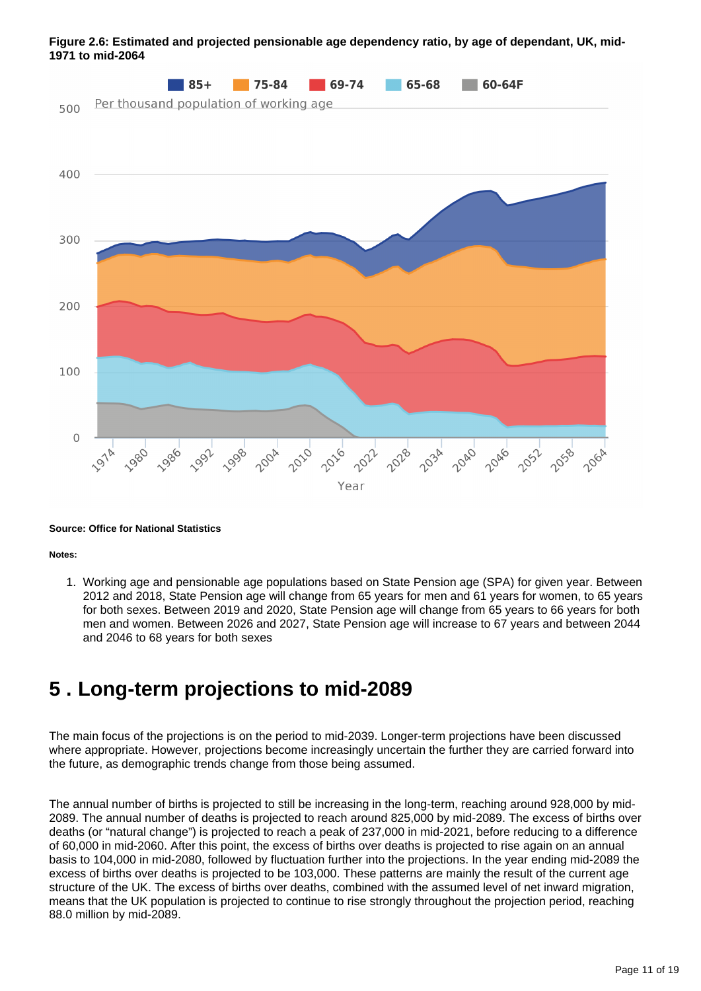

### **Figure 2.6: Estimated and projected pensionable age dependency ratio, by age of dependant, UK, mid-1971 to mid-2064**

#### **Source: Office for National Statistics**

**Notes:**

1. Working age and pensionable age populations based on State Pension age (SPA) for given year. Between 2012 and 2018, State Pension age will change from 65 years for men and 61 years for women, to 65 years for both sexes. Between 2019 and 2020, State Pension age will change from 65 years to 66 years for both men and women. Between 2026 and 2027, State Pension age will increase to 67 years and between 2044 and 2046 to 68 years for both sexes

## <span id="page-10-0"></span>**5 . Long-term projections to mid-2089**

The main focus of the projections is on the period to mid-2039. Longer-term projections have been discussed where appropriate. However, projections become increasingly uncertain the further they are carried forward into the future, as demographic trends change from those being assumed.

The annual number of births is projected to still be increasing in the long-term, reaching around 928,000 by mid-2089. The annual number of deaths is projected to reach around 825,000 by mid-2089. The excess of births over deaths (or "natural change") is projected to reach a peak of 237,000 in mid-2021, before reducing to a difference of 60,000 in mid-2060. After this point, the excess of births over deaths is projected to rise again on an annual basis to 104,000 in mid-2080, followed by fluctuation further into the projections. In the year ending mid-2089 the excess of births over deaths is projected to be 103,000. These patterns are mainly the result of the current age structure of the UK. The excess of births over deaths, combined with the assumed level of net inward migration, means that the UK population is projected to continue to rise strongly throughout the projection period, reaching 88.0 million by mid-2089.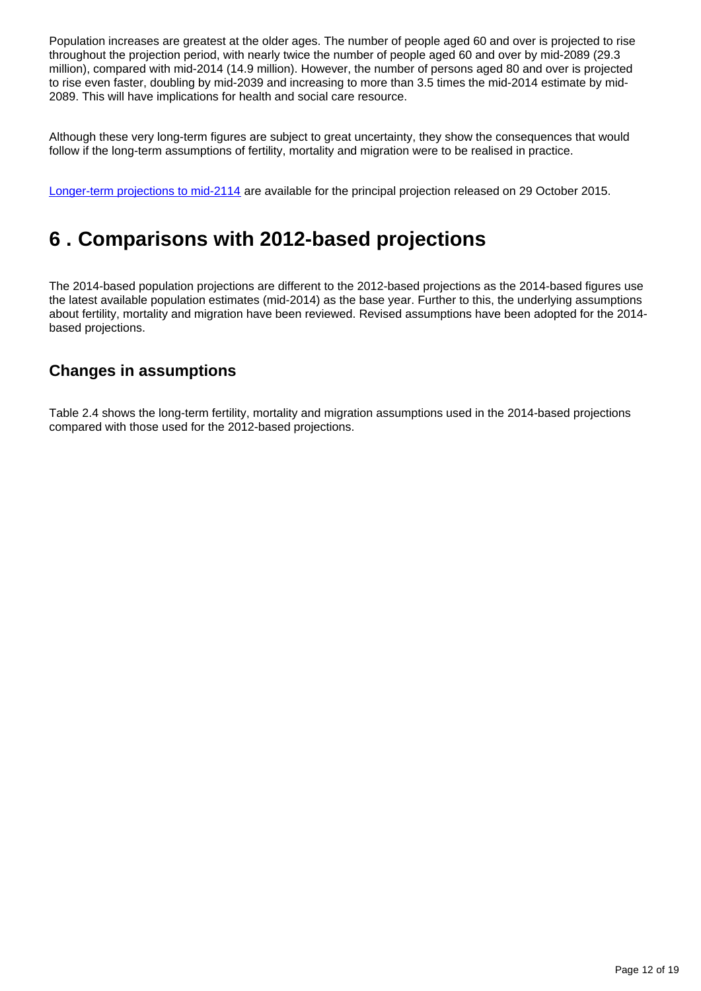Population increases are greatest at the older ages. The number of people aged 60 and over is projected to rise throughout the projection period, with nearly twice the number of people aged 60 and over by mid-2089 (29.3 million), compared with mid-2014 (14.9 million). However, the number of persons aged 80 and over is projected to rise even faster, doubling by mid-2039 and increasing to more than 3.5 times the mid-2014 estimate by mid-2089. This will have implications for health and social care resource.

Although these very long-term figures are subject to great uncertainty, they show the consequences that would follow if the long-term assumptions of fertility, mortality and migration were to be realised in practice.

[Longer-term projections to mid-2114](http://www.ons.gov.uk/peoplepopulationandcommunity/populationandmigration/populationprojections/bulletins/nationalpopulationprojections/2015-10-29/relateddata) are available for the principal projection released on 29 October 2015.

## <span id="page-11-0"></span>**6 . Comparisons with 2012-based projections**

The 2014-based population projections are different to the 2012-based projections as the 2014-based figures use the latest available population estimates (mid-2014) as the base year. Further to this, the underlying assumptions about fertility, mortality and migration have been reviewed. Revised assumptions have been adopted for the 2014 based projections.

### **Changes in assumptions**

Table 2.4 shows the long-term fertility, mortality and migration assumptions used in the 2014-based projections compared with those used for the 2012-based projections.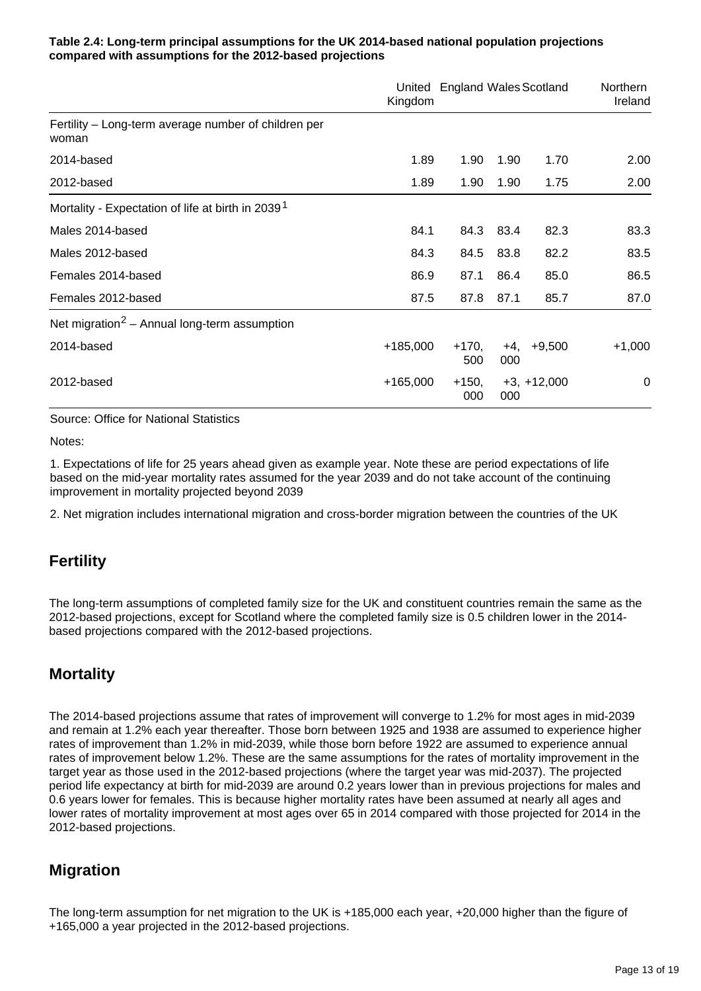### **Table 2.4: Long-term principal assumptions for the UK 2014-based national population projections compared with assumptions for the 2012-based projections**

|                                                               | Kingdom    | United England Wales Scotland |            |               | Northern<br>Ireland |
|---------------------------------------------------------------|------------|-------------------------------|------------|---------------|---------------------|
| Fertility – Long-term average number of children per<br>woman |            |                               |            |               |                     |
| 2014-based                                                    | 1.89       | 1.90                          | 1.90       | 1.70          | 2.00                |
| 2012-based                                                    | 1.89       | 1.90                          | 1.90       | 1.75          | 2.00                |
| Mortality - Expectation of life at birth in 2039 <sup>1</sup> |            |                               |            |               |                     |
| Males 2014-based                                              | 84.1       | 84.3                          | 83.4       | 82.3          | 83.3                |
| Males 2012-based                                              | 84.3       | 84.5                          | 83.8       | 82.2          | 83.5                |
| Females 2014-based                                            | 86.9       | 87.1                          | 86.4       | 85.0          | 86.5                |
| Females 2012-based                                            | 87.5       | 87.8                          | 87.1       | 85.7          | 87.0                |
| Net migration <sup>2</sup> – Annual long-term assumption      |            |                               |            |               |                     |
| 2014-based                                                    | $+185,000$ | $+170,$<br>500                | +4,<br>000 | $+9,500$      | $+1,000$            |
| 2012-based                                                    | $+165,000$ | $+150,$<br>000                | 000        | $+3, +12,000$ | 0                   |

Source: Office for National Statistics

Notes:

1. Expectations of life for 25 years ahead given as example year. Note these are period expectations of life based on the mid-year mortality rates assumed for the year 2039 and do not take account of the continuing improvement in mortality projected beyond 2039

2. Net migration includes international migration and cross-border migration between the countries of the UK

### **Fertility**

The long-term assumptions of completed family size for the UK and constituent countries remain the same as the 2012-based projections, except for Scotland where the completed family size is 0.5 children lower in the 2014 based projections compared with the 2012-based projections.

### **Mortality**

The 2014-based projections assume that rates of improvement will converge to 1.2% for most ages in mid-2039 and remain at 1.2% each year thereafter. Those born between 1925 and 1938 are assumed to experience higher rates of improvement than 1.2% in mid-2039, while those born before 1922 are assumed to experience annual rates of improvement below 1.2%. These are the same assumptions for the rates of mortality improvement in the target year as those used in the 2012-based projections (where the target year was mid-2037). The projected period life expectancy at birth for mid-2039 are around 0.2 years lower than in previous projections for males and 0.6 years lower for females. This is because higher mortality rates have been assumed at nearly all ages and lower rates of mortality improvement at most ages over 65 in 2014 compared with those projected for 2014 in the 2012-based projections.

### **Migration**

The long-term assumption for net migration to the UK is +185,000 each year, +20,000 higher than the figure of +165,000 a year projected in the 2012-based projections.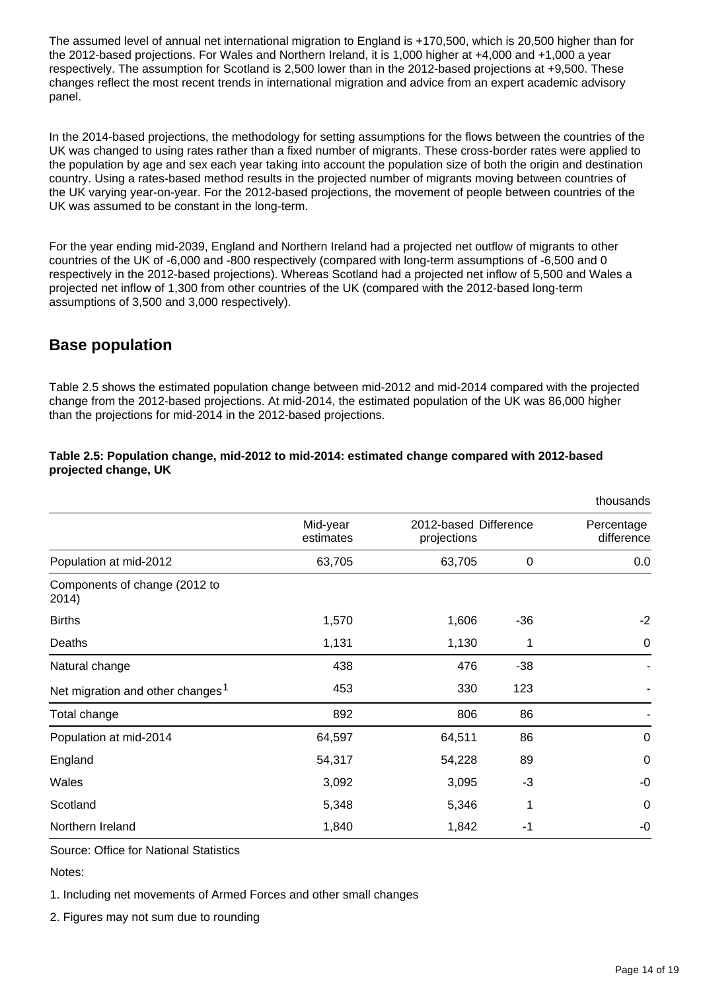The assumed level of annual net international migration to England is +170,500, which is 20,500 higher than for the 2012-based projections. For Wales and Northern Ireland, it is 1,000 higher at +4,000 and +1,000 a year respectively. The assumption for Scotland is 2,500 lower than in the 2012-based projections at +9,500. These changes reflect the most recent trends in international migration and advice from an expert academic advisory panel.

In the 2014-based projections, the methodology for setting assumptions for the flows between the countries of the UK was changed to using rates rather than a fixed number of migrants. These cross-border rates were applied to the population by age and sex each year taking into account the population size of both the origin and destination country. Using a rates-based method results in the projected number of migrants moving between countries of the UK varying year-on-year. For the 2012-based projections, the movement of people between countries of the UK was assumed to be constant in the long-term.

For the year ending mid-2039, England and Northern Ireland had a projected net outflow of migrants to other countries of the UK of -6,000 and -800 respectively (compared with long-term assumptions of -6,500 and 0 respectively in the 2012-based projections). Whereas Scotland had a projected net inflow of 5,500 and Wales a projected net inflow of 1,300 from other countries of the UK (compared with the 2012-based long-term assumptions of 3,500 and 3,000 respectively).

### **Base population**

Table 2.5 shows the estimated population change between mid-2012 and mid-2014 compared with the projected change from the 2012-based projections. At mid-2014, the estimated population of the UK was 86,000 higher than the projections for mid-2014 in the 2012-based projections.

|                                              |                       |                                      |             | thousands                |  |
|----------------------------------------------|-----------------------|--------------------------------------|-------------|--------------------------|--|
|                                              | Mid-year<br>estimates | 2012-based Difference<br>projections |             | Percentage<br>difference |  |
| Population at mid-2012                       | 63,705                | 63,705                               | $\mathbf 0$ | 0.0                      |  |
| Components of change (2012 to<br>2014)       |                       |                                      |             |                          |  |
| <b>Births</b>                                | 1,570                 | 1,606                                | $-36$       | $-2$                     |  |
| Deaths                                       | 1,131                 | 1,130                                | 1           | $\mathbf 0$              |  |
| Natural change                               | 438                   | 476                                  | $-38$       |                          |  |
| Net migration and other changes <sup>1</sup> | 453                   | 330                                  | 123         |                          |  |
| Total change                                 | 892                   | 806                                  | 86          |                          |  |
| Population at mid-2014                       | 64,597                | 64,511                               | 86          | $\mathbf 0$              |  |
| England                                      | 54,317                | 54,228                               | 89          | $\mathbf 0$              |  |
| Wales                                        | 3,092                 | 3,095                                | $-3$        | $-0$                     |  |
| Scotland                                     | 5,348                 | 5,346                                | 1           | 0                        |  |
| Northern Ireland                             | 1,840                 | 1,842                                | -1          | $-0$                     |  |

### **Table 2.5: Population change, mid-2012 to mid-2014: estimated change compared with 2012-based projected change, UK**

Source: Office for National Statistics

Notes:

1. Including net movements of Armed Forces and other small changes

2. Figures may not sum due to rounding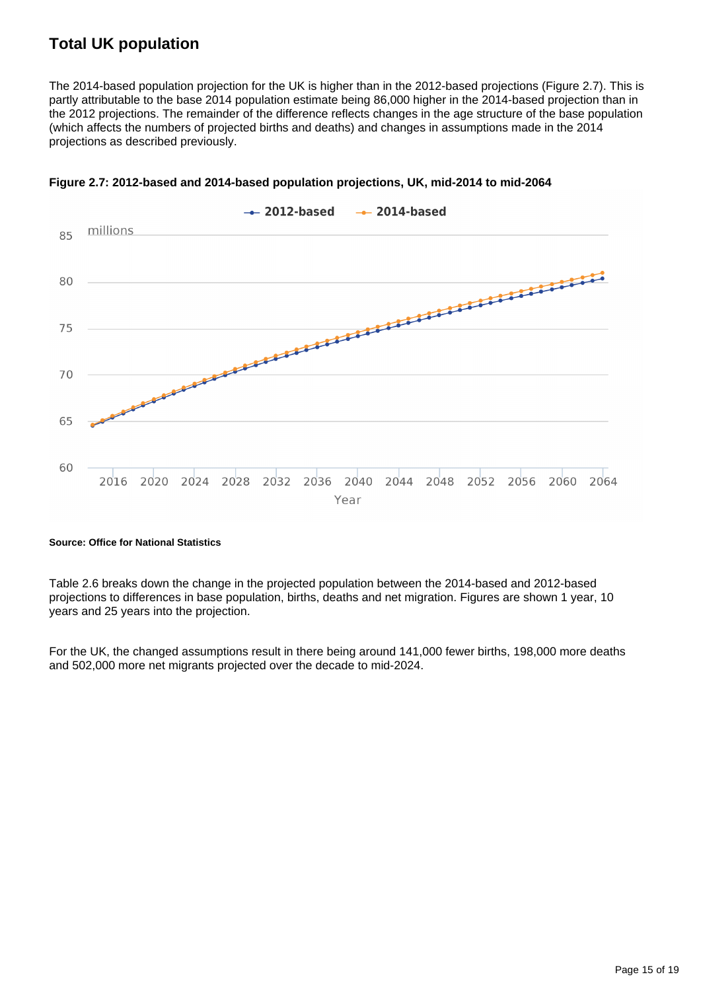### **Total UK population**

The 2014-based population projection for the UK is higher than in the 2012-based projections (Figure 2.7). This is partly attributable to the base 2014 population estimate being 86,000 higher in the 2014-based projection than in the 2012 projections. The remainder of the difference reflects changes in the age structure of the base population (which affects the numbers of projected births and deaths) and changes in assumptions made in the 2014 projections as described previously.



**Figure 2.7: 2012-based and 2014-based population projections, UK, mid-2014 to mid-2064**

#### **Source: Office for National Statistics**

Table 2.6 breaks down the change in the projected population between the 2014-based and 2012-based projections to differences in base population, births, deaths and net migration. Figures are shown 1 year, 10 years and 25 years into the projection.

For the UK, the changed assumptions result in there being around 141,000 fewer births, 198,000 more deaths and 502,000 more net migrants projected over the decade to mid-2024.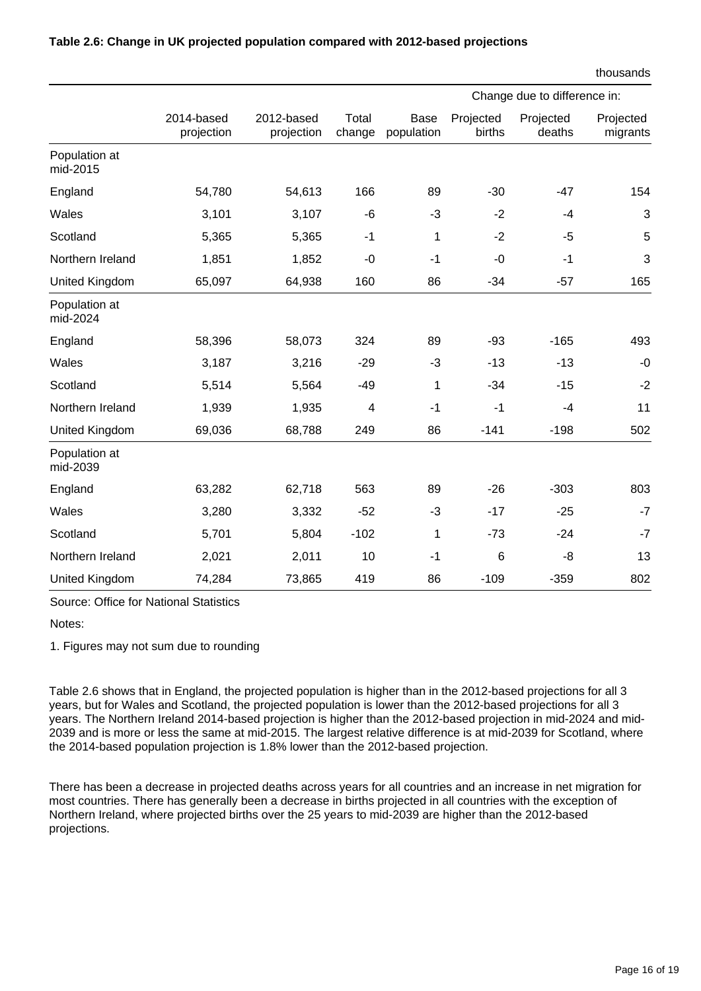|                           |                          |                          |                 |                    | Change due to difference in: |                     |                       |  |
|---------------------------|--------------------------|--------------------------|-----------------|--------------------|------------------------------|---------------------|-----------------------|--|
|                           | 2014-based<br>projection | 2012-based<br>projection | Total<br>change | Base<br>population | Projected<br>births          | Projected<br>deaths | Projected<br>migrants |  |
| Population at<br>mid-2015 |                          |                          |                 |                    |                              |                     |                       |  |
| England                   | 54,780                   | 54,613                   | 166             | 89                 | $-30$                        | $-47$               | 154                   |  |
| Wales                     | 3,101                    | 3,107                    | $-6$            | $-3$               | $-2$                         | $-4$                | 3                     |  |
| Scotland                  | 5,365                    | 5,365                    | $-1$            | 1                  | $-2$                         | -5                  | 5                     |  |
| Northern Ireland          | 1,851                    | 1,852                    | $-0$            | $-1$               | $-0$                         | $-1$                | 3                     |  |
| United Kingdom            | 65,097                   | 64,938                   | 160             | 86                 | $-34$                        | $-57$               | 165                   |  |
| Population at<br>mid-2024 |                          |                          |                 |                    |                              |                     |                       |  |
| England                   | 58,396                   | 58,073                   | 324             | 89                 | $-93$                        | $-165$              | 493                   |  |
| Wales                     | 3,187                    | 3,216                    | $-29$           | $-3$               | $-13$                        | $-13$               | $-0$                  |  |
| Scotland                  | 5,514                    | 5,564                    | $-49$           | 1                  | $-34$                        | $-15$               | $-2$                  |  |
| Northern Ireland          | 1,939                    | 1,935                    | 4               | $-1$               | $-1$                         | $-4$                | 11                    |  |
| United Kingdom            | 69,036                   | 68,788                   | 249             | 86                 | $-141$                       | $-198$              | 502                   |  |
| Population at<br>mid-2039 |                          |                          |                 |                    |                              |                     |                       |  |
| England                   | 63,282                   | 62,718                   | 563             | 89                 | $-26$                        | $-303$              | 803                   |  |
| Wales                     | 3,280                    | 3,332                    | $-52$           | $-3$               | $-17$                        | $-25$               | $-7$                  |  |
| Scotland                  | 5,701                    | 5,804                    | $-102$          | 1                  | $-73$                        | $-24$               | $-7$                  |  |
| Northern Ireland          | 2,021                    | 2,011                    | 10              | $-1$               | $6\phantom{1}6$              | -8                  | 13                    |  |
| United Kingdom            | 74,284                   | 73,865                   | 419             | 86                 | $-109$                       | $-359$              | 802                   |  |

### **Table 2.6: Change in UK projected population compared with 2012-based projections**

Notes:

1. Figures may not sum due to rounding

Source: Office for National Statistics

Table 2.6 shows that in England, the projected population is higher than in the 2012-based projections for all 3 years, but for Wales and Scotland, the projected population is lower than the 2012-based projections for all 3 years. The Northern Ireland 2014-based projection is higher than the 2012-based projection in mid-2024 and mid-2039 and is more or less the same at mid-2015. The largest relative difference is at mid-2039 for Scotland, where the 2014-based population projection is 1.8% lower than the 2012-based projection.

There has been a decrease in projected deaths across years for all countries and an increase in net migration for most countries. There has generally been a decrease in births projected in all countries with the exception of Northern Ireland, where projected births over the 25 years to mid-2039 are higher than the 2012-based projections.

thousands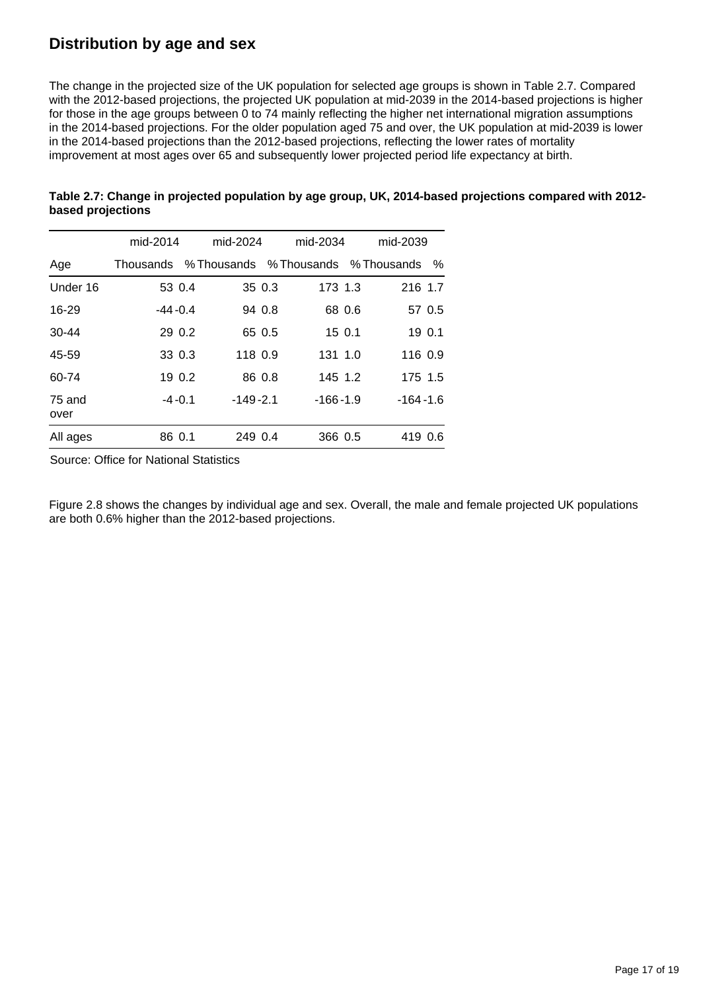### **Distribution by age and sex**

The change in the projected size of the UK population for selected age groups is shown in Table 2.7. Compared with the 2012-based projections, the projected UK population at mid-2039 in the 2014-based projections is higher for those in the age groups between 0 to 74 mainly reflecting the higher net international migration assumptions in the 2014-based projections. For the older population aged 75 and over, the UK population at mid-2039 is lower in the 2014-based projections than the 2012-based projections, reflecting the lower rates of mortality improvement at most ages over 65 and subsequently lower projected period life expectancy at birth.

|                | mid-2014    |                                       | mid-2024<br>mid-2034 |            |        | mid-2039     |        |
|----------------|-------------|---------------------------------------|----------------------|------------|--------|--------------|--------|
| Age            | Thousands   | % Thousands % Thousands % Thousands % |                      |            |        |              |        |
| Under 16       | 53 0.4      |                                       | 35 0.3               | 173 1.3    |        | 216 1.7      |        |
| $16 - 29$      | $-44 - 0.4$ |                                       | 94 0.8               |            | 68 0.6 |              | 57 0.5 |
| $30 - 44$      | 29 0.2      |                                       | 65 0.5               |            | 150.1  |              | 19 0.1 |
| 45-59          | 33 0.3      | 118 0.9                               |                      | 131 1.0    |        | 116 0.9      |        |
| 60-74          | 19 0.2      |                                       | 86 0.8               | 145 1.2    |        | 175 1.5      |        |
| 75 and<br>over | $-4 - 0.1$  | $-149-2.1$                            |                      | $-166-1.9$ |        | $-164 - 1.6$ |        |
| All ages       | 86 0.1      | 249 0.4                               |                      | 366 0.5    |        | 419 0.6      |        |

### **Table 2.7: Change in projected population by age group, UK, 2014-based projections compared with 2012 based projections**

Source: Office for National Statistics

Figure 2.8 shows the changes by individual age and sex. Overall, the male and female projected UK populations are both 0.6% higher than the 2012-based projections.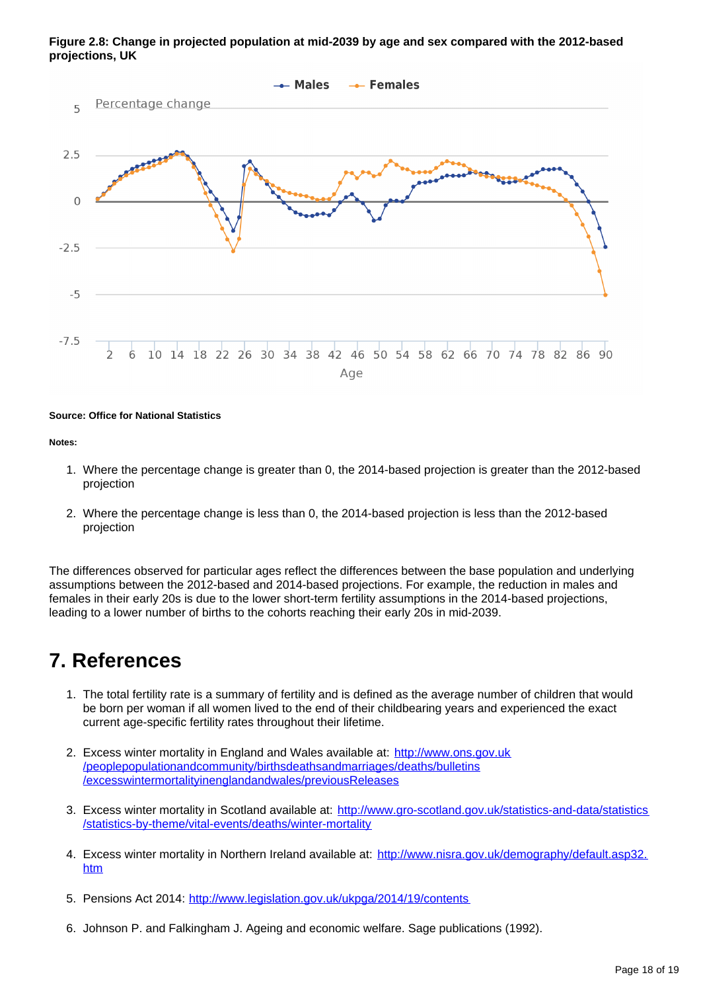

#### **Figure 2.8: Change in projected population at mid-2039 by age and sex compared with the 2012-based projections, UK**

#### **Source: Office for National Statistics**

#### **Notes:**

- 1. Where the percentage change is greater than 0, the 2014-based projection is greater than the 2012-based projection
- 2. Where the percentage change is less than 0, the 2014-based projection is less than the 2012-based projection

The differences observed for particular ages reflect the differences between the base population and underlying assumptions between the 2012-based and 2014-based projections. For example, the reduction in males and females in their early 20s is due to the lower short-term fertility assumptions in the 2014-based projections, leading to a lower number of births to the cohorts reaching their early 20s in mid-2039.

## **7. References**

- 1. The total fertility rate is a summary of fertility and is defined as the average number of children that would be born per woman if all women lived to the end of their childbearing years and experienced the exact current age-specific fertility rates throughout their lifetime.
- 2. Excess winter mortality in England and Wales available at: [http://www.ons.gov.uk](http://www.ons.gov.uk/peoplepopulationandcommunity/birthsdeathsandmarriages/deaths/bulletins/excesswintermortalityinenglandandwales/previousReleases) [/peoplepopulationandcommunity/birthsdeathsandmarriages/deaths/bulletins](http://www.ons.gov.uk/peoplepopulationandcommunity/birthsdeathsandmarriages/deaths/bulletins/excesswintermortalityinenglandandwales/previousReleases) [/excesswintermortalityinenglandandwales/previousReleases](http://www.ons.gov.uk/peoplepopulationandcommunity/birthsdeathsandmarriages/deaths/bulletins/excesswintermortalityinenglandandwales/previousReleases)
- 3. Excess winter mortality in Scotland available at: [http://www.gro-scotland.gov.uk/statistics-and-data/statistics](http://www.gro-scotland.gov.uk/statistics-and-data/statistics/statistics-by-theme/vital-events/deaths/winter-mortality) [/statistics-by-theme/vital-events/deaths/winter-mortality](http://www.gro-scotland.gov.uk/statistics-and-data/statistics/statistics-by-theme/vital-events/deaths/winter-mortality)
- 4. Excess winter mortality in Northern Ireland available at: [http://www.nisra.gov.uk/demography/default.asp32.](http://www.nisra.gov.uk/demography/default.asp32.htm) [htm](http://www.nisra.gov.uk/demography/default.asp32.htm)
- 5. Pensions Act 2014: <http://www.legislation.gov.uk/ukpga/2014/19/contents>
- 6. Johnson P. and Falkingham J. Ageing and economic welfare. Sage publications (1992).